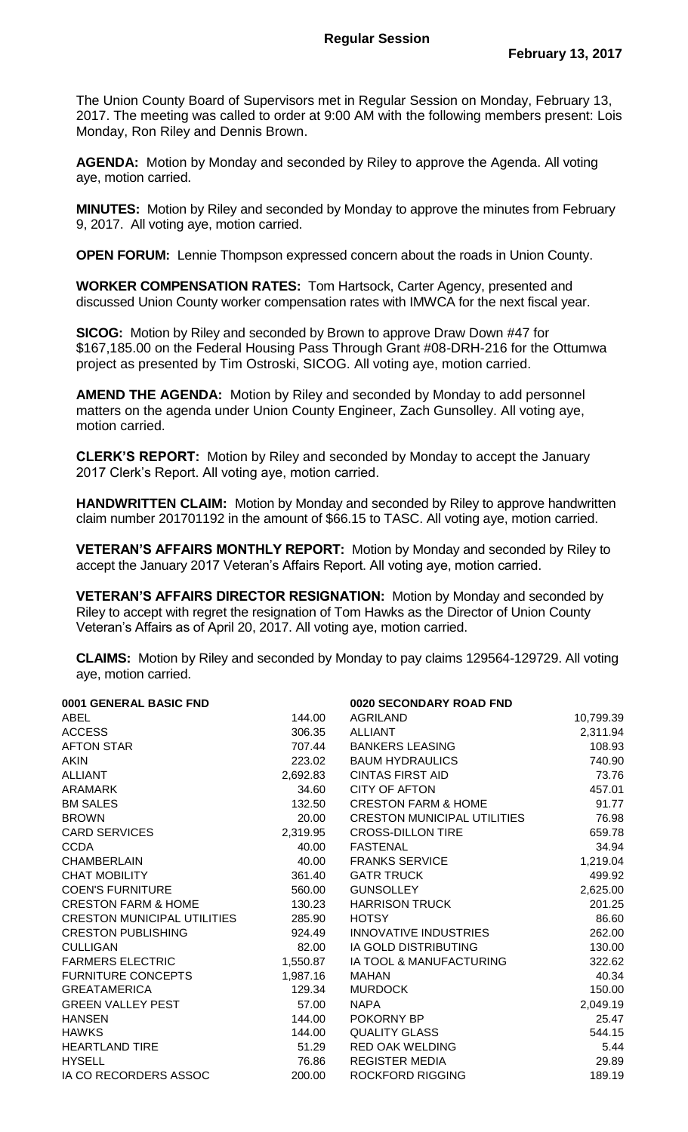The Union County Board of Supervisors met in Regular Session on Monday, February 13, 2017. The meeting was called to order at 9:00 AM with the following members present: Lois Monday, Ron Riley and Dennis Brown.

**AGENDA:** Motion by Monday and seconded by Riley to approve the Agenda. All voting aye, motion carried.

**MINUTES:** Motion by Riley and seconded by Monday to approve the minutes from February 9, 2017. All voting aye, motion carried.

**OPEN FORUM:** Lennie Thompson expressed concern about the roads in Union County.

**WORKER COMPENSATION RATES:** Tom Hartsock, Carter Agency, presented and discussed Union County worker compensation rates with IMWCA for the next fiscal year.

**SICOG:** Motion by Riley and seconded by Brown to approve Draw Down #47 for \$167,185.00 on the Federal Housing Pass Through Grant #08-DRH-216 for the Ottumwa project as presented by Tim Ostroski, SICOG. All voting aye, motion carried.

**AMEND THE AGENDA:** Motion by Riley and seconded by Monday to add personnel matters on the agenda under Union County Engineer, Zach Gunsolley. All voting aye, motion carried.

**CLERK'S REPORT:** Motion by Riley and seconded by Monday to accept the January 2017 Clerk's Report. All voting aye, motion carried.

**HANDWRITTEN CLAIM:** Motion by Monday and seconded by Riley to approve handwritten claim number 201701192 in the amount of \$66.15 to TASC. All voting aye, motion carried.

**VETERAN'S AFFAIRS MONTHLY REPORT:** Motion by Monday and seconded by Riley to accept the January 2017 Veteran's Affairs Report. All voting aye, motion carried.

**VETERAN'S AFFAIRS DIRECTOR RESIGNATION:** Motion by Monday and seconded by Riley to accept with regret the resignation of Tom Hawks as the Director of Union County Veteran's Affairs as of April 20, 2017. All voting aye, motion carried.

**CLAIMS:** Motion by Riley and seconded by Monday to pay claims 129564-129729. All voting aye, motion carried.

| 0001 GENERAL BASIC FND             |          | 0020 SECONDARY ROAD FND            |           |
|------------------------------------|----------|------------------------------------|-----------|
| ABEL                               | 144.00   | <b>AGRILAND</b>                    | 10,799.39 |
| <b>ACCESS</b>                      | 306.35   | <b>ALLIANT</b>                     | 2,311.94  |
| <b>AFTON STAR</b>                  | 707.44   | <b>BANKERS LEASING</b>             | 108.93    |
| <b>AKIN</b>                        | 223.02   | <b>BAUM HYDRAULICS</b>             | 740.90    |
| <b>ALLIANT</b>                     | 2,692.83 | <b>CINTAS FIRST AID</b>            | 73.76     |
| <b>ARAMARK</b>                     | 34.60    | <b>CITY OF AFTON</b>               | 457.01    |
| <b>BM SALES</b>                    | 132.50   | <b>CRESTON FARM &amp; HOME</b>     | 91.77     |
| <b>BROWN</b>                       | 20.00    | <b>CRESTON MUNICIPAL UTILITIES</b> | 76.98     |
| <b>CARD SERVICES</b>               | 2,319.95 | <b>CROSS-DILLON TIRE</b>           | 659.78    |
| <b>CCDA</b>                        | 40.00    | <b>FASTENAL</b>                    | 34.94     |
| <b>CHAMBERLAIN</b>                 | 40.00    | <b>FRANKS SERVICE</b>              | 1,219.04  |
| <b>CHAT MOBILITY</b>               | 361.40   | <b>GATR TRUCK</b>                  | 499.92    |
| <b>COEN'S FURNITURE</b>            | 560.00   | <b>GUNSOLLEY</b>                   | 2,625.00  |
| <b>CRESTON FARM &amp; HOME</b>     | 130.23   | <b>HARRISON TRUCK</b>              | 201.25    |
| <b>CRESTON MUNICIPAL UTILITIES</b> | 285.90   | <b>HOTSY</b>                       | 86.60     |
| <b>CRESTON PUBLISHING</b>          | 924.49   | <b>INNOVATIVE INDUSTRIES</b>       | 262.00    |
| <b>CULLIGAN</b>                    | 82.00    | IA GOLD DISTRIBUTING               | 130.00    |
| <b>FARMERS ELECTRIC</b>            | 1,550.87 | IA TOOL & MANUFACTURING            | 322.62    |
| <b>FURNITURE CONCEPTS</b>          | 1,987.16 | <b>MAHAN</b>                       | 40.34     |
| <b>GREATAMERICA</b>                | 129.34   | <b>MURDOCK</b>                     | 150.00    |
| <b>GREEN VALLEY PEST</b>           | 57.00    | <b>NAPA</b>                        | 2,049.19  |
| <b>HANSEN</b>                      | 144.00   | POKORNY BP                         | 25.47     |
| <b>HAWKS</b>                       | 144.00   | <b>QUALITY GLASS</b>               | 544.15    |
| <b>HEARTLAND TIRE</b>              | 51.29    | <b>RED OAK WELDING</b>             | 5.44      |
| <b>HYSELL</b>                      | 76.86    | <b>REGISTER MEDIA</b>              | 29.89     |
| IA CO RECORDERS ASSOC              | 200.00   | <b>ROCKFORD RIGGING</b>            | 189.19    |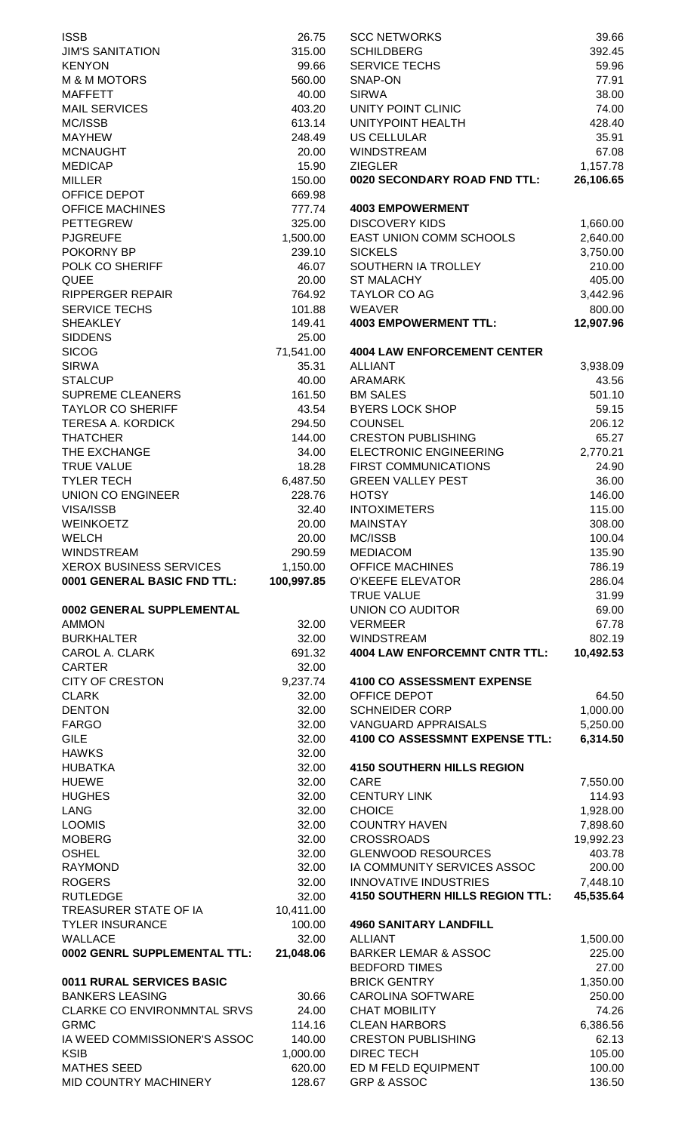| <b>ISSB</b>                    | 26.75      | <b>SCC NETWORKS</b>                    | 39.66     |
|--------------------------------|------------|----------------------------------------|-----------|
| <b>JIM'S SANITATION</b>        | 315.00     | <b>SCHILDBERG</b>                      | 392.45    |
| <b>KENYON</b>                  | 99.66      | <b>SERVICE TECHS</b>                   | 59.96     |
| <b>M &amp; M MOTORS</b>        | 560.00     | SNAP-ON                                | 77.91     |
| <b>MAFFETT</b>                 | 40.00      | <b>SIRWA</b>                           | 38.00     |
| <b>MAIL SERVICES</b>           | 403.20     | UNITY POINT CLINIC                     | 74.00     |
| MC/ISSB                        | 613.14     | UNITYPOINT HEALTH                      | 428.40    |
| <b>MAYHEW</b>                  | 248.49     | <b>US CELLULAR</b>                     | 35.91     |
| <b>MCNAUGHT</b>                | 20.00      | WINDSTREAM                             | 67.08     |
| <b>MEDICAP</b>                 | 15.90      | <b>ZIEGLER</b>                         | 1,157.78  |
| <b>MILLER</b>                  | 150.00     | 0020 SECONDARY ROAD FND TTL:           | 26,106.65 |
| OFFICE DEPOT                   | 669.98     |                                        |           |
| <b>OFFICE MACHINES</b>         | 777.74     | <b>4003 EMPOWERMENT</b>                |           |
| <b>PETTEGREW</b>               | 325.00     | <b>DISCOVERY KIDS</b>                  | 1,660.00  |
| <b>PJGREUFE</b>                | 1,500.00   | EAST UNION COMM SCHOOLS                | 2,640.00  |
| POKORNY BP                     | 239.10     | <b>SICKELS</b>                         | 3,750.00  |
| POLK CO SHERIFF                | 46.07      | SOUTHERN IA TROLLEY                    | 210.00    |
| <b>QUEE</b>                    | 20.00      | <b>ST MALACHY</b>                      | 405.00    |
| <b>RIPPERGER REPAIR</b>        | 764.92     | <b>TAYLOR CO AG</b>                    | 3,442.96  |
| <b>SERVICE TECHS</b>           | 101.88     | <b>WEAVER</b>                          | 800.00    |
| <b>SHEAKLEY</b>                | 149.41     | <b>4003 EMPOWERMENT TTL:</b>           | 12,907.96 |
| <b>SIDDENS</b>                 | 25.00      |                                        |           |
| <b>SICOG</b>                   | 71,541.00  | <b>4004 LAW ENFORCEMENT CENTER</b>     |           |
| <b>SIRWA</b>                   | 35.31      | <b>ALLIANT</b>                         | 3,938.09  |
| <b>STALCUP</b>                 | 40.00      | <b>ARAMARK</b>                         | 43.56     |
| <b>SUPREME CLEANERS</b>        | 161.50     | <b>BM SALES</b>                        | 501.10    |
| <b>TAYLOR CO SHERIFF</b>       | 43.54      | <b>BYERS LOCK SHOP</b>                 | 59.15     |
| <b>TERESA A. KORDICK</b>       | 294.50     | <b>COUNSEL</b>                         | 206.12    |
| <b>THATCHER</b>                | 144.00     | <b>CRESTON PUBLISHING</b>              | 65.27     |
| THE EXCHANGE                   | 34.00      | ELECTRONIC ENGINEERING                 | 2,770.21  |
| <b>TRUE VALUE</b>              | 18.28      | <b>FIRST COMMUNICATIONS</b>            | 24.90     |
| <b>TYLER TECH</b>              | 6,487.50   | <b>GREEN VALLEY PEST</b>               | 36.00     |
| <b>UNION CO ENGINEER</b>       | 228.76     | <b>HOTSY</b>                           | 146.00    |
| VISA/ISSB                      | 32.40      | <b>INTOXIMETERS</b>                    | 115.00    |
| <b>WEINKOETZ</b>               | 20.00      | <b>MAINSTAY</b>                        | 308.00    |
| <b>WELCH</b>                   | 20.00      | MC/ISSB                                | 100.04    |
| <b>WINDSTREAM</b>              | 290.59     | <b>MEDIACOM</b>                        | 135.90    |
| <b>XEROX BUSINESS SERVICES</b> | 1,150.00   | <b>OFFICE MACHINES</b>                 | 786.19    |
| 0001 GENERAL BASIC FND TTL:    | 100,997.85 | O'KEEFE ELEVATOR                       | 286.04    |
|                                |            | <b>TRUE VALUE</b>                      | 31.99     |
| 0002 GENERAL SUPPLEMENTAL      |            | <b>UNION CO AUDITOR</b>                | 69.00     |
| <b>AMMON</b>                   | 32.00      | <b>VERMEER</b>                         | 67.78     |
| <b>BURKHALTER</b>              | 32.00      | <b>WINDSTREAM</b>                      | 802.19    |
| <b>CAROL A. CLARK</b>          | 691.32     | <b>4004 LAW ENFORCEMNT CNTR TTL:</b>   | 10,492.53 |
| <b>CARTER</b>                  | 32.00      |                                        |           |
| <b>CITY OF CRESTON</b>         | 9,237.74   | 4100 CO ASSESSMENT EXPENSE             |           |
| <b>CLARK</b>                   | 32.00      | OFFICE DEPOT                           | 64.50     |
| <b>DENTON</b>                  | 32.00      | <b>SCHNEIDER CORP</b>                  | 1,000.00  |
| <b>FARGO</b>                   | 32.00      | <b>VANGUARD APPRAISALS</b>             | 5,250.00  |
| <b>GILE</b>                    | 32.00      | 4100 CO ASSESSMNT EXPENSE TTL:         | 6,314.50  |
| <b>HAWKS</b>                   | 32.00      |                                        |           |
| <b>HUBATKA</b>                 | 32.00      | <b>4150 SOUTHERN HILLS REGION</b>      |           |
| <b>HUEWE</b>                   | 32.00      | CARE                                   | 7,550.00  |
| <b>HUGHES</b>                  | 32.00      | <b>CENTURY LINK</b>                    | 114.93    |
| <b>LANG</b>                    | 32.00      | <b>CHOICE</b>                          | 1,928.00  |
| <b>LOOMIS</b>                  | 32.00      | <b>COUNTRY HAVEN</b>                   | 7,898.60  |
| <b>MOBERG</b>                  | 32.00      | <b>CROSSROADS</b>                      | 19,992.23 |
| <b>OSHEL</b>                   | 32.00      | <b>GLENWOOD RESOURCES</b>              | 403.78    |
| <b>RAYMOND</b>                 | 32.00      | IA COMMUNITY SERVICES ASSOC            | 200.00    |
| <b>ROGERS</b>                  | 32.00      | <b>INNOVATIVE INDUSTRIES</b>           | 7,448.10  |
| <b>RUTLEDGE</b>                | 32.00      | <b>4150 SOUTHERN HILLS REGION TTL:</b> | 45,535.64 |
| TREASURER STATE OF IA          | 10,411.00  |                                        |           |
| <b>TYLER INSURANCE</b>         | 100.00     | <b>4960 SANITARY LANDFILL</b>          |           |
| <b>WALLACE</b>                 | 32.00      | <b>ALLIANT</b>                         | 1,500.00  |
| 0002 GENRL SUPPLEMENTAL TTL:   | 21,048.06  | <b>BARKER LEMAR &amp; ASSOC</b>        | 225.00    |
|                                |            | <b>BEDFORD TIMES</b>                   | 27.00     |
| 0011 RURAL SERVICES BASIC      |            | <b>BRICK GENTRY</b>                    | 1,350.00  |
| <b>BANKERS LEASING</b>         | 30.66      | <b>CAROLINA SOFTWARE</b>               | 250.00    |
| CLARKE CO ENVIRONMNTAL SRVS    | 24.00      | <b>CHAT MOBILITY</b>                   | 74.26     |
| <b>GRMC</b>                    | 114.16     | <b>CLEAN HARBORS</b>                   | 6,386.56  |
| IA WEED COMMISSIONER'S ASSOC   | 140.00     | <b>CRESTON PUBLISHING</b>              | 62.13     |
| <b>KSIB</b>                    | 1,000.00   | <b>DIREC TECH</b>                      | 105.00    |
| <b>MATHES SEED</b>             | 620.00     | ED M FELD EQUIPMENT                    | 100.00    |
| MID COUNTRY MACHINERY          | 128.67     | <b>GRP &amp; ASSOC</b>                 | 136.50    |
|                                |            |                                        |           |